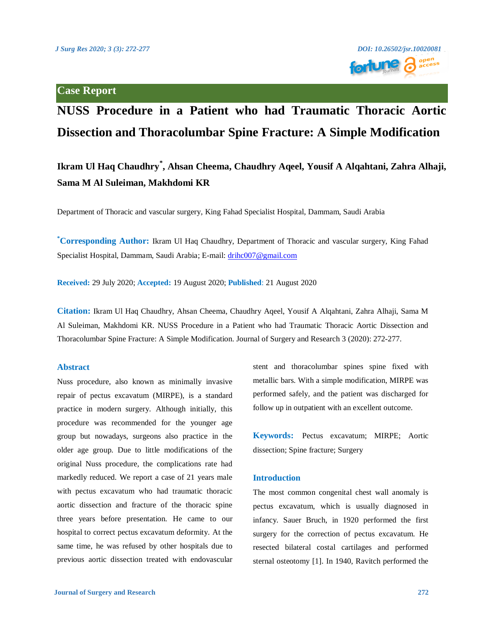

# **NUSS Procedure in a Patient who had Traumatic Thoracic Aortic Dissection and Thoracolumbar Spine Fracture: A Simple Modification**

## **Ikram Ul Haq Chaudhry\* , Ahsan Cheema, Chaudhry Aqeel, Yousif A Alqahtani, Zahra Alhaji, Sama M Al Suleiman, Makhdomi KR**

Department of Thoracic and vascular surgery, King Fahad Specialist Hospital, Dammam, Saudi Arabia

**\*Corresponding Author:** Ikram Ul Haq Chaudhry, Department of Thoracic and vascular surgery, King Fahad Specialist Hospital, Dammam, Saudi Arabia; E-mail: [drihc007@gmail.com](mailto:drihc007@gmail.com)

**Received:** 29 July 2020; **Accepted:** 19 August 2020; **Published**: 21 August 2020

**Citation:** Ikram Ul Haq Chaudhry, Ahsan Cheema, Chaudhry Aqeel, Yousif A Alqahtani, Zahra Alhaji, Sama M Al Suleiman, Makhdomi KR. NUSS Procedure in a Patient who had Traumatic Thoracic Aortic Dissection and Thoracolumbar Spine Fracture: A Simple Modification. Journal of Surgery and Research 3 (2020): 272-277.

### **Abstract**

Nuss procedure, also known as minimally invasive repair of pectus excavatum (MIRPE), is a standard practice in modern surgery. Although initially, this procedure was recommended for the younger age group but nowadays, surgeons also practice in the older age group. Due to little modifications of the original Nuss procedure, the complications rate had markedly reduced. We report a case of 21 years male with pectus excavatum who had traumatic thoracic aortic dissection and fracture of the thoracic spine three years before presentation. He came to our hospital to correct pectus excavatum deformity. At the same time, he was refused by other hospitals due to previous aortic dissection treated with endovascular stent and thoracolumbar spines spine fixed with metallic bars. With a simple modification, MIRPE was performed safely, and the patient was discharged for follow up in outpatient with an excellent outcome.

**Keywords:** Pectus excavatum; MIRPE; Aortic dissection; Spine fracture; Surgery

#### **Introduction**

The most common congenital chest wall anomaly is pectus excavatum, which is usually diagnosed in infancy. Sauer Bruch, in 1920 performed the first surgery for the correction of pectus excavatum. He resected bilateral costal cartilages and performed sternal osteotomy [1]. In 1940, Ravitch performed the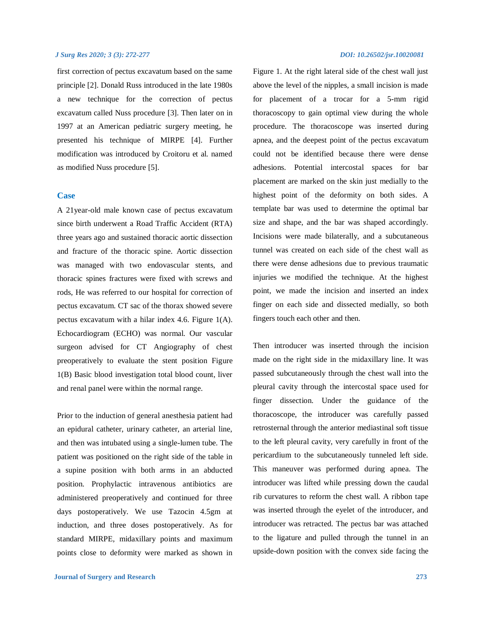#### *J Surg Res 2020; 3 (3): 272-277 DOI: 10.26502/jsr.10020081*

first correction of pectus excavatum based on the same principle [2]. Donald Russ introduced in the late 1980s a new technique for the correction of pectus excavatum called Nuss procedure [3]. Then later on in 1997 at an American pediatric surgery meeting, he presented his technique of MIRPE [4]. Further modification was introduced by Croitoru et al. named as modified Nuss procedure [5].

### **Case**

A 21year-old male known case of pectus excavatum since birth underwent a Road Traffic Accident (RTA) three years ago and sustained thoracic aortic dissection and fracture of the thoracic spine. Aortic dissection was managed with two endovascular stents, and thoracic spines fractures were fixed with screws and rods, He was referred to our hospital for correction of pectus excavatum. CT sac of the thorax showed severe pectus excavatum with a hilar index 4.6. Figure 1(A). Echocardiogram (ECHO) was normal. Our vascular surgeon advised for CT Angiography of chest preoperatively to evaluate the stent position Figure 1(B) Basic blood investigation total blood count, liver and renal panel were within the normal range.

Prior to the induction of general anesthesia patient had an epidural catheter, urinary catheter, an arterial line, and then was intubated using a single-lumen tube. The patient was positioned on the right side of the table in a supine position with both arms in an abducted position. Prophylactic intravenous antibiotics are administered preoperatively and continued for three days postoperatively. We use Tazocin 4.5gm at induction, and three doses postoperatively. As for standard MIRPE, midaxillary points and maximum points close to deformity were marked as shown in

Figure 1. At the right lateral side of the chest wall just above the level of the nipples, a small incision is made for placement of a trocar for a 5-mm rigid thoracoscopy to gain optimal view during the whole procedure. The thoracoscope was inserted during apnea, and the deepest point of the pectus excavatum could not be identified because there were dense adhesions. Potential intercostal spaces for bar placement are marked on the skin just medially to the highest point of the deformity on both sides. A template bar was used to determine the optimal bar size and shape, and the bar was shaped accordingly. Incisions were made bilaterally, and a subcutaneous tunnel was created on each side of the chest wall as there were dense adhesions due to previous traumatic injuries we modified the technique. At the highest point, we made the incision and inserted an index finger on each side and dissected medially, so both fingers touch each other and then.

Then introducer was inserted through the incision made on the right side in the midaxillary line. It was passed subcutaneously through the chest wall into the pleural cavity through the intercostal space used for finger dissection. Under the guidance of the thoracoscope, the introducer was carefully passed retrosternal through the anterior mediastinal soft tissue to the left pleural cavity, very carefully in front of the pericardium to the subcutaneously tunneled left side. This maneuver was performed during apnea. The introducer was lifted while pressing down the caudal rib curvatures to reform the chest wall. A ribbon tape was inserted through the eyelet of the introducer, and introducer was retracted. The pectus bar was attached to the ligature and pulled through the tunnel in an upside-down position with the convex side facing the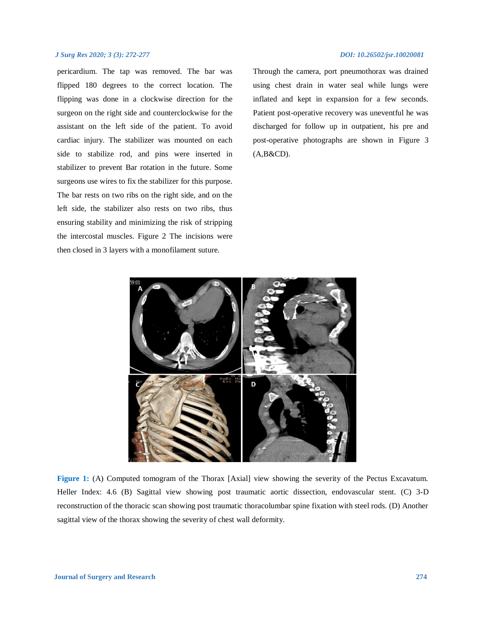### *J Surg Res 2020; 3 (3): 272-277 DOI: 10.26502/jsr.10020081*

pericardium. The tap was removed. The bar was flipped 180 degrees to the correct location. The flipping was done in a clockwise direction for the surgeon on the right side and counterclockwise for the assistant on the left side of the patient. To avoid cardiac injury. The stabilizer was mounted on each side to stabilize rod, and pins were inserted in stabilizer to prevent Bar rotation in the future. Some surgeons use wires to fix the stabilizer for this purpose. The bar rests on two ribs on the right side, and on the left side, the stabilizer also rests on two ribs, thus ensuring stability and minimizing the risk of stripping the intercostal muscles. Figure 2 The incisions were then closed in 3 layers with a monofilament suture.

Through the camera, port pneumothorax was drained using chest drain in water seal while lungs were inflated and kept in expansion for a few seconds. Patient post-operative recovery was uneventful he was discharged for follow up in outpatient, his pre and post-operative photographs are shown in Figure 3  $(A, B & CD)$ .



**Figure 1:** (A) Computed tomogram of the Thorax [Axial] view showing the severity of the Pectus Excavatum. Heller Index: 4.6 (B) Sagittal view showing post traumatic aortic dissection, endovascular stent. (C) 3-D reconstruction of the thoracic scan showing post traumatic thoracolumbar spine fixation with steel rods. (D) Another sagittal view of the thorax showing the severity of chest wall deformity.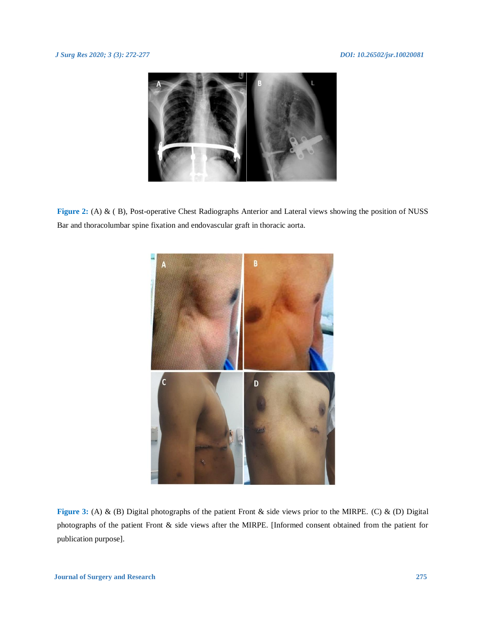

**Figure 2:** (A) & ( B), Post-operative Chest Radiographs Anterior and Lateral views showing the position of NUSS Bar and thoracolumbar spine fixation and endovascular graft in thoracic aorta.



**Figure 3:** (A) & (B) Digital photographs of the patient Front & side views prior to the MIRPE. (C) & (D) Digital photographs of the patient Front & side views after the MIRPE. [Informed consent obtained from the patient for publication purpose].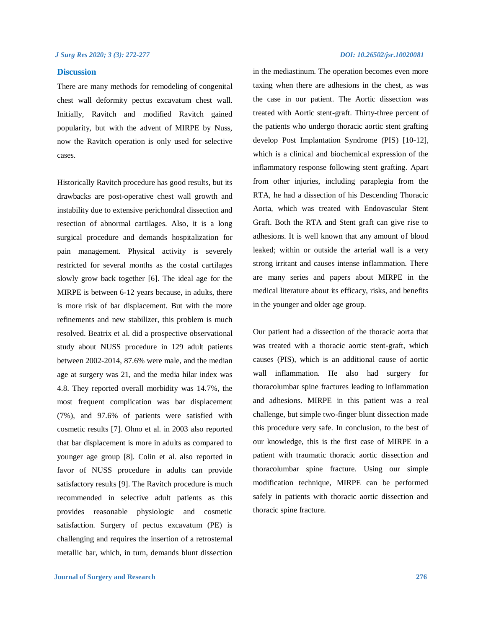### **Discussion**

There are many methods for remodeling of congenital chest wall deformity pectus excavatum chest wall. Initially, Ravitch and modified Ravitch gained popularity, but with the advent of MIRPE by Nuss, now the Ravitch operation is only used for selective cases.

Historically Ravitch procedure has good results, but its drawbacks are post-operative chest wall growth and instability due to extensive perichondral dissection and resection of abnormal cartilages. Also, it is a long surgical procedure and demands hospitalization for pain management. Physical activity is severely restricted for several months as the costal cartilages slowly grow back together [6]. The ideal age for the MIRPE is between 6-12 years because, in adults, there is more risk of bar displacement. But with the more refinements and new stabilizer, this problem is much resolved. Beatrix et al. did a prospective observational study about NUSS procedure in 129 adult patients between 2002-2014, 87.6% were male, and the median age at surgery was 21, and the media hilar index was 4.8. They reported overall morbidity was 14.7%, the most frequent complication was bar displacement (7%), and 97.6% of patients were satisfied with cosmetic results [7]. Ohno et al. in 2003 also reported that bar displacement is more in adults as compared to younger age group [8]. Colin et al. also reported in favor of NUSS procedure in adults can provide satisfactory results [9]. The Ravitch procedure is much recommended in selective adult patients as this provides reasonable physiologic and cosmetic satisfaction. Surgery of pectus excavatum (PE) is challenging and requires the insertion of a retrosternal metallic bar, which, in turn, demands blunt dissection

in the mediastinum. The operation becomes even more taxing when there are adhesions in the chest, as was the case in our patient. The Aortic dissection was treated with Aortic stent-graft. Thirty-three percent of the patients who undergo thoracic aortic stent grafting develop Post Implantation Syndrome (PIS) [10-12], which is a clinical and biochemical expression of the inflammatory response following stent grafting. Apart from other injuries, including paraplegia from the RTA, he had a dissection of his Descending Thoracic Aorta, which was treated with Endovascular Stent Graft. Both the RTA and Stent graft can give rise to adhesions. It is well known that any amount of blood leaked; within or outside the arterial wall is a very strong irritant and causes intense inflammation. There are many series and papers about MIRPE in the medical literature about its efficacy, risks, and benefits in the younger and older age group.

Our patient had a dissection of the thoracic aorta that was treated with a thoracic aortic stent-graft, which causes (PIS), which is an additional cause of aortic wall inflammation. He also had surgery for thoracolumbar spine fractures leading to inflammation and adhesions. MIRPE in this patient was a real challenge, but simple two-finger blunt dissection made this procedure very safe. In conclusion, to the best of our knowledge, this is the first case of MIRPE in a patient with traumatic thoracic aortic dissection and thoracolumbar spine fracture. Using our simple modification technique, MIRPE can be performed safely in patients with thoracic aortic dissection and thoracic spine fracture.